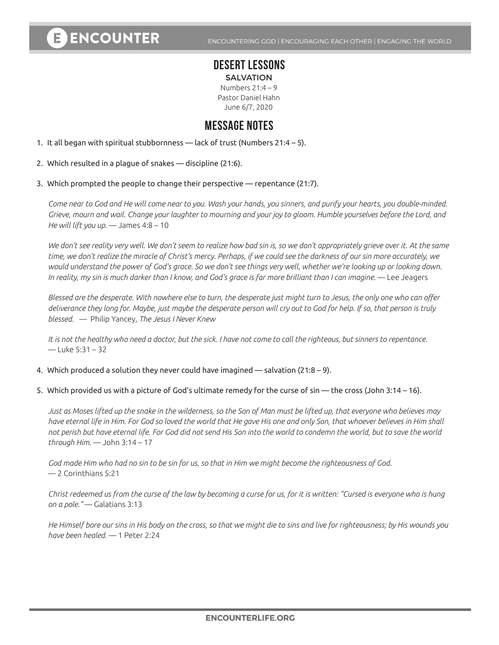# **ENCOUNTER**

ENCOUNTERING GOD | ENCOURAGING EACH OTHER | ENGAGING THE WORLD

## **DESERT LESSONS**

**SALVATION** Numbers  $21:4 - 9$ Pastor Daniel Hahn June 6/7, 2020

### **MESSAGE NOTES**

1. It all began with spiritual stubbornness — lack of trust (Numbers 21:4 – 5).

- 2. Which resulted in a plague of snakes discipline (21:6).
- 3. Which prompted the people to change their perspective repentance (21:7).

*Come near to God and He will come near to you. Wash your hands, you sinners, and purify your hearts, you double-minded. Grieve, mourn and wail. Change your laughter to mourning and your joy to gloom. Humble yourselves before the Lord, and He will lift you up.* — James 4:8 – 10

*We don't see reality very well. We don't seem to realize how bad sin is, so we don't appropriately grieve over it. At the same time, we don't realize the miracle of Christ's mercy. Perhaps, if we could see the darkness of our sin more accurately, we would understand the power of God's grace. So we don't see things very well, whether we're looking up or looking down.*  In reality, my sin is much darker than I know, and God's grace is far more brilliant than I can imagine. — Lee Jeagers

*Blessed are the desperate. With nowhere else to turn, the desperate just might turn to Jesus, the only one who can offer deliverance they long for. Maybe, just maybe the desperate person will cry out to God for help. If so, that person is truly blessed.* — Philip Yancey, *The Jesus I Never Knew*

*It is not the healthy who need a doctor, but the sick. I have not come to call the righteous, but sinners to repentance.*   $-$  Luke 5:31 – 32

4. Which produced a solution they never could have imagined — salvation (21:8 – 9).

5. Which provided us with a picture of God's ultimate remedy for the curse of sin — the cross (John 3:14 – 16).

*Just as Moses lifted up the snake in the wilderness, so the Son of Man must be lifted up, that everyone who believes may have eternal life in Him. For God so loved the world that He gave His one and only Son, that whoever believes in Him shall not perish but have eternal life. For God did not send His Son into the world to condemn the world, but to save the world through Him.* — John 3:14 – 17

*God made Him who had no sin to be sin for us, so that in Him we might become the righteousness of God.*  — 2 Corinthians 5:21

*Christ redeemed us from the curse of the law by becoming a curse for us, for it is written: "Cursed is everyone who is hung on a pole."* — Galatians 3:13

*He Himself bore our sins in His body on the cross, so that we might die to sins and live for righteousness; by His wounds you have been healed.* — 1 Peter 2:24